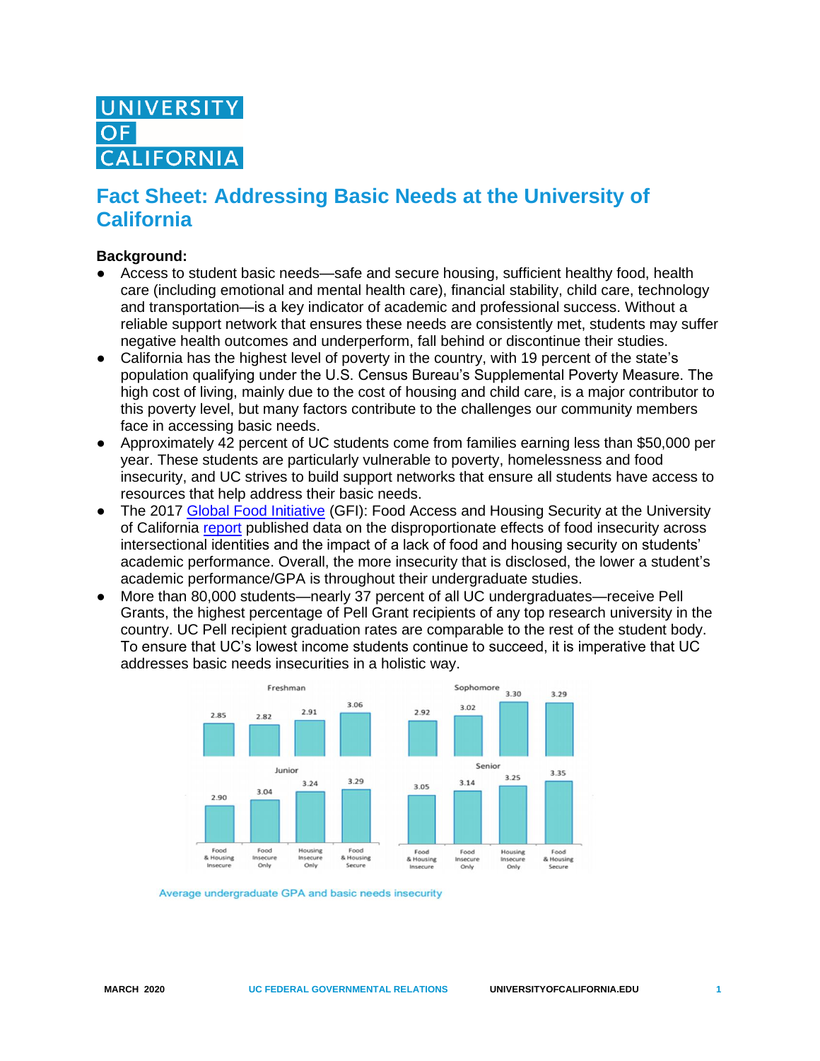# **NIVERSIT LIFORNIA**

## **Fact Sheet: Addressing Basic Needs at the University of California**

#### **Background:**

- Access to student basic needs—safe and secure housing, sufficient healthy food, health care (including emotional and mental health care), financial stability, child care, technology and transportation—is a key indicator of academic and professional success. Without a reliable support network that ensures these needs are consistently met, students may suffer negative health outcomes and underperform, fall behind or discontinue their studies.
- California has the highest level of poverty in the country, with 19 percent of the state's population qualifying under the U.S. Census Bureau's Supplemental Poverty Measure. The high cost of living, mainly due to the cost of housing and child care, is a major contributor to this poverty level, but many factors contribute to the challenges our community members face in accessing basic needs.
- Approximately 42 percent of UC students come from families earning less than \$50,000 per year. These students are particularly vulnerable to poverty, homelessness and food insecurity, and UC strives to build support networks that ensure all students have access to resources that help address their basic needs.
- The 2017 [Global Food Initiative](https://www.ucop.edu/global-food-initiative/) (GFI): Food Access and Housing Security at the University of California [report](https://www.ucop.edu/global-food-initiative/_files/food-housing-security.pdf) published data on the disproportionate effects of food insecurity across intersectional identities and the impact of a lack of food and housing security on students' academic performance. Overall, the more insecurity that is disclosed, the lower a student's academic performance/GPA is throughout their undergraduate studies.
- More than 80,000 students—nearly 37 percent of all UC undergraduates—receive Pell Grants, the highest percentage of Pell Grant recipients of any top research university in the country. UC Pell recipient graduation rates are comparable to the rest of the student body. To ensure that UC's lowest income students continue to succeed, it is imperative that UC addresses basic needs insecurities in a holistic way.



Average undergraduate GPA and basic needs insecurity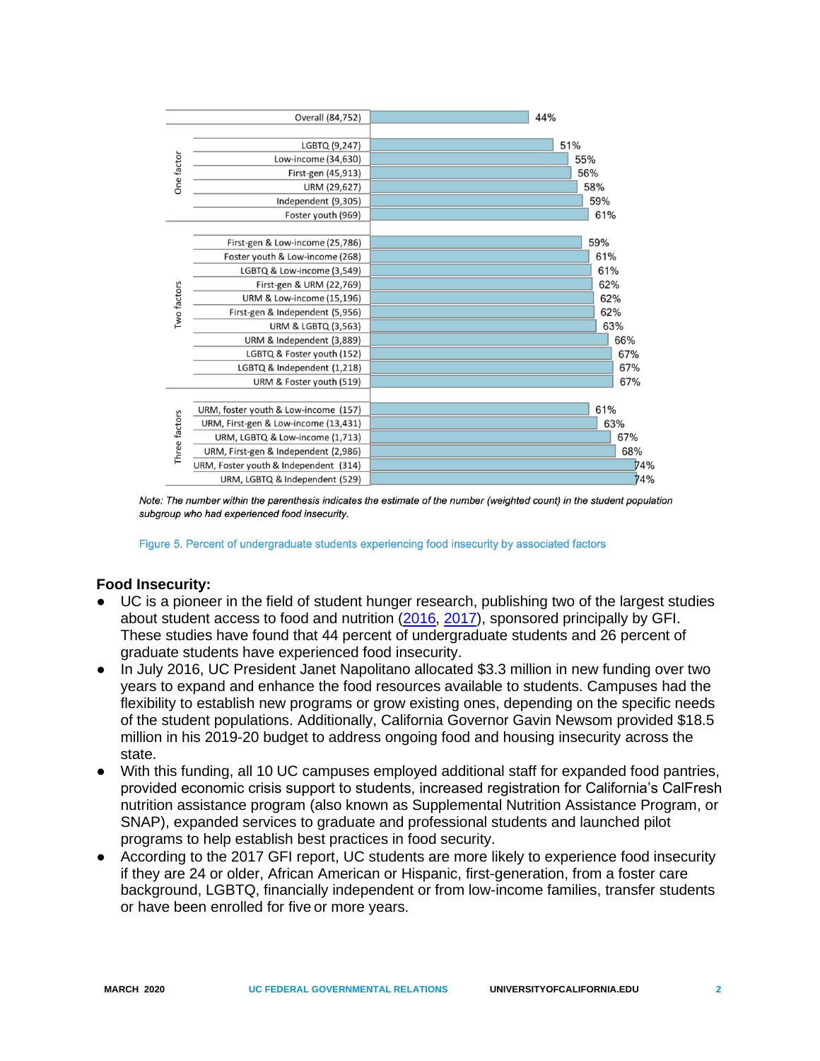| Overall (84,752) |                                       | 44% |     |  |
|------------------|---------------------------------------|-----|-----|--|
| One factor       |                                       |     |     |  |
|                  | LGBTQ (9,247)                         |     | 51% |  |
|                  | Low-income (34,630)                   |     | 55% |  |
|                  | First-gen (45,913)                    |     | 56% |  |
|                  | URM (29,627)                          |     | 58% |  |
|                  | Independent (9,305)                   | 59% |     |  |
|                  | Foster youth (969)                    |     | 61% |  |
| Two factors      |                                       |     |     |  |
|                  | First-gen & Low-income (25,786)       |     | 59% |  |
|                  | Foster youth & Low-income (268)       |     | 61% |  |
|                  | LGBTQ & Low-income (3,549)            |     | 61% |  |
|                  | First-gen & URM (22,769)              |     | 62% |  |
|                  | URM & Low-income (15,196)             |     | 62% |  |
|                  | First-gen & Independent (5,956)       |     | 62% |  |
|                  | <b>URM &amp; LGBTQ (3,563)</b>        |     | 63% |  |
|                  | URM & Independent (3,889)             |     | 66% |  |
|                  | LGBTQ & Foster youth (152)            |     | 67% |  |
|                  | LGBTQ & Independent (1,218)           |     | 67% |  |
|                  | URM & Foster youth (519)              |     | 67% |  |
|                  |                                       |     |     |  |
| Three factors    | URM, foster youth & Low-income (157)  |     | 61% |  |
|                  | URM, First-gen & Low-income (13,431)  |     | 63% |  |
|                  | URM, LGBTQ & Low-income (1,713)       |     | 67% |  |
|                  | URM, First-gen & Independent (2,986)  |     | 68% |  |
|                  | URM, Foster youth & Independent (314) |     | 74% |  |
|                  | URM, LGBTQ & Independent (529)        |     | 74% |  |

Note: The number within the parenthesis indicates the estimate of the number (weighted count) in the student population subgroup who had experienced food insecurity.

Figure 5. Percent of undergraduate students experiencing food insecurity by associated factors

#### **Food Insecurity:**

- UC is a pioneer in the field of student hunger research, publishing two of the largest studies about student access to food and nutrition [\(2016,](https://www.ucop.edu/global-food-initiative/best-practices/food-access-security/student-food-access-and-security-study.pdf) [2017\)](https://www.ucop.edu/global-food-initiative/_files/food-housing-security.pdf), sponsored principally by GFI. These studies have found that 44 percent of undergraduate students and 26 percent of graduate students have experienced food insecurity.
- In July 2016, UC President Janet Napolitano allocated \$3.3 million in new funding over two years to expand and enhance the food resources available to students. Campuses had the flexibility to establish new programs or grow existing ones, depending on the specific needs of the student populations. Additionally, California Governor Gavin Newsom provided \$18.5 million in his 2019-20 budget to address ongoing food and housing insecurity across the state.
- With this funding, all 10 UC campuses employed additional staff for expanded food pantries, provided economic crisis support to students, increased registration for California's CalFresh nutrition assistance program (also known as Supplemental Nutrition Assistance Program, or SNAP), expanded services to graduate and professional students and launched pilot programs to help establish best practices in food security.
- According to the 2017 GFI report, UC students are more likely to experience food insecurity if they are 24 or older, African American or Hispanic, first-generation, from a foster care background, LGBTQ, financially independent or from low-income families, transfer students or have been enrolled for five or more years.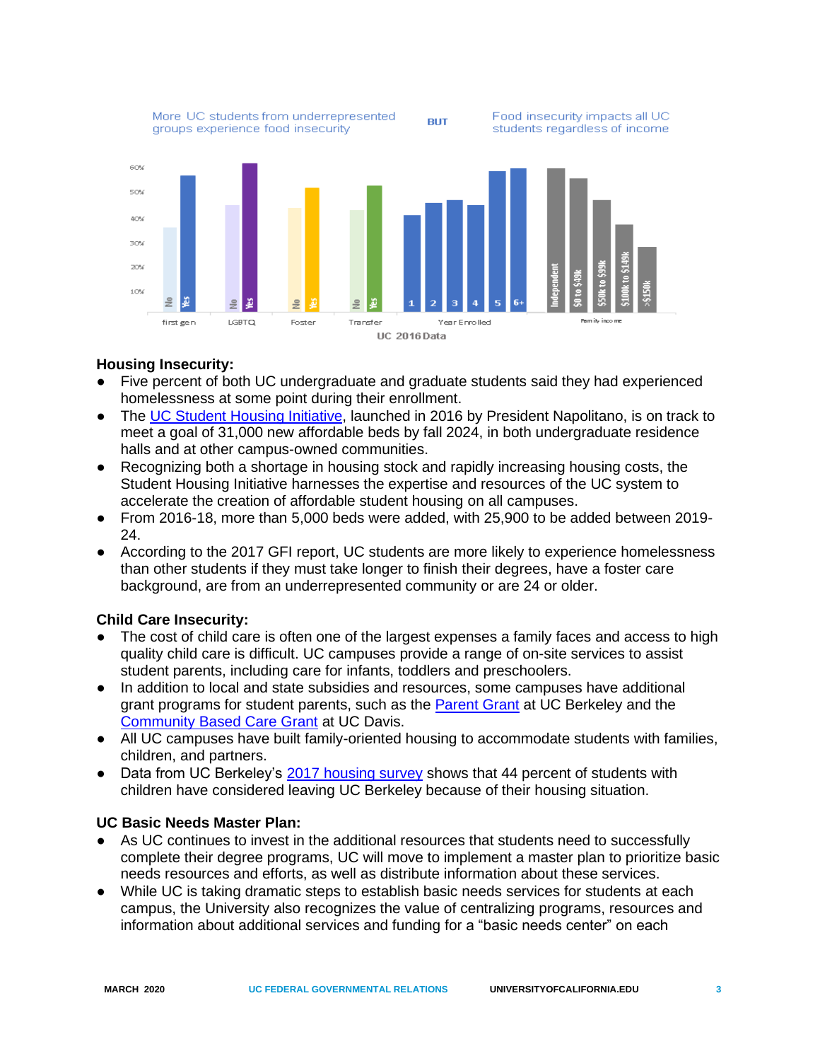

### **Housing Insecurity:**

- Five percent of both UC undergraduate and graduate students said they had experienced homelessness at some point during their enrollment.
- The [UC Student Housing Initiative,](https://www.universityofcalifornia.edu/support-uc/ucan/campus-housing) launched in 2016 by President Napolitano, is on track to meet a goal of 31,000 new affordable beds by fall 2024, in both undergraduate residence halls and at other campus-owned communities.
- Recognizing both a shortage in housing stock and rapidly increasing housing costs, the Student Housing Initiative harnesses the expertise and resources of the UC system to accelerate the creation of affordable student housing on all campuses.
- From 2016-18, more than 5,000 beds were added, with 25,900 to be added between 2019- 24.
- According to the 2017 GFI report, UC students are more likely to experience homelessness than other students if they must take longer to finish their degrees, have a foster care background, are from an underrepresented community or are 24 or older.

#### **Child Care Insecurity:**

- The cost of child care is often one of the largest expenses a family faces and access to high quality child care is difficult. UC campuses provide a range of on-site services to assist student parents, including care for infants, toddlers and preschoolers.
- In addition to local and state subsidies and resources, some campuses have additional grant programs for student parents, such as the [Parent Grant](https://financialaid.berkeley.edu/parent-grant) at UC Berkeley and the [Community Based Care Grant](https://hr.ucdavis.edu/departments/worklife-wellness/student-parent/ucd-funding) at UC Davis.
- All UC campuses have built family-oriented housing to accommodate students with families, children, and partners.
- Data from UC Berkeley's [2017 housing survey](https://basicneeds.berkeley.edu/learn) shows that 44 percent of students with children have considered leaving UC Berkeley because of their housing situation.

#### **UC Basic Needs Master Plan:**

- As UC continues to invest in the additional resources that students need to successfully complete their degree programs, UC will move to implement a master plan to prioritize basic needs resources and efforts, as well as distribute information about these services.
- While UC is taking dramatic steps to establish basic needs services for students at each campus, the University also recognizes the value of centralizing programs, resources and information about additional services and funding for a "basic needs center" on each